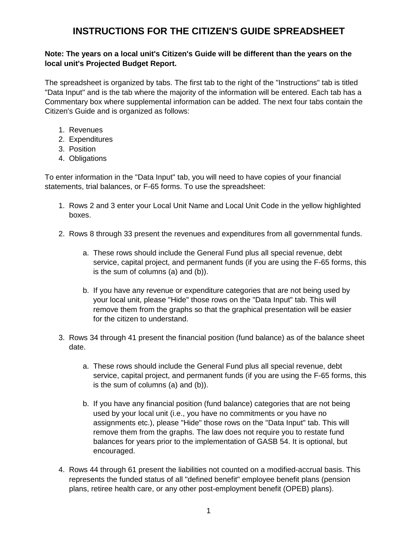# **INSTRUCTIONS FOR THE CITIZEN'S GUIDE SPREADSHEET**

## **Note: The years on a local unit's Citizen's Guide will be different than the years on the local unit's Projected Budget Report.**

The spreadsheet is organized by tabs. The first tab to the right of the "Instructions" tab is titled "Data Input" and is the tab where the majority of the information will be entered. Each tab has a Commentary box where supplemental information can be added. The next four tabs contain the Citizen's Guide and is organized as follows:

- 1. Revenues
- 2. Expenditures
- 3. Position
- 4. Obligations

To enter information in the "Data Input" tab, you will need to have copies of your financial statements, trial balances, or F-65 forms. To use the spreadsheet:

- 1. Rows 2 and 3 enter your Local Unit Name and Local Unit Code in the yellow highlighted boxes.
- 2. Rows 8 through 33 present the revenues and expenditures from all governmental funds.
	- a. These rows should include the General Fund plus all special revenue, debt service, capital project, and permanent funds (if you are using the F-65 forms, this is the sum of columns (a) and (b)).
	- b. If you have any revenue or expenditure categories that are not being used by your local unit, please "Hide" those rows on the "Data Input" tab. This will remove them from the graphs so that the graphical presentation will be easier for the citizen to understand.
- 3. Rows 34 through 41 present the financial position (fund balance) as of the balance sheet date.
	- a. These rows should include the General Fund plus all special revenue, debt service, capital project, and permanent funds (if you are using the F-65 forms, this is the sum of columns (a) and (b)).
	- b. If you have any financial position (fund balance) categories that are not being used by your local unit (i.e., you have no commitments or you have no assignments etc.), please "Hide" those rows on the "Data Input" tab. This will remove them from the graphs. The law does not require you to restate fund balances for years prior to the implementation of GASB 54. It is optional, but encouraged.
- 4. Rows 44 through 61 present the liabilities not counted on a modified-accrual basis. This represents the funded status of all "defined benefit" employee benefit plans (pension plans, retiree health care, or any other post-employment benefit (OPEB) plans).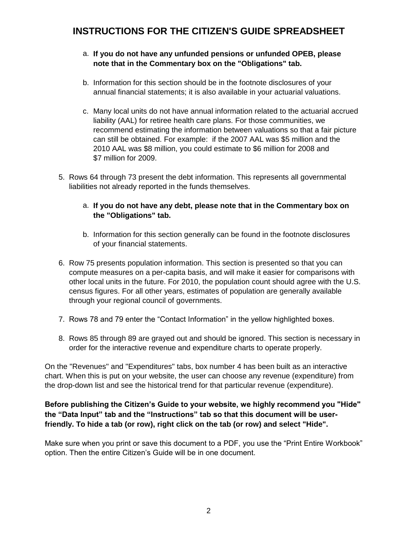# **INSTRUCTIONS FOR THE CITIZEN'S GUIDE SPREADSHEET**

- a. **If you do not have any unfunded pensions or unfunded OPEB, please note that in the Commentary box on the "Obligations" tab.**
- b. Information for this section should be in the footnote disclosures of your annual financial statements; it is also available in your actuarial valuations.
- c. Many local units do not have annual information related to the actuarial accrued liability (AAL) for retiree health care plans. For those communities, we recommend estimating the information between valuations so that a fair picture can still be obtained. For example: if the 2007 AAL was \$5 million and the 2010 AAL was \$8 million, you could estimate to \$6 million for 2008 and \$7 million for 2009.
- 5. Rows 64 through 73 present the debt information. This represents all governmental liabilities not already reported in the funds themselves.
	- a. **If you do not have any debt, please note that in the Commentary box on the "Obligations" tab.**
	- b. Information for this section generally can be found in the footnote disclosures of your financial statements.
- 6. Row 75 presents population information. This section is presented so that you can compute measures on a per-capita basis, and will make it easier for comparisons with other local units in the future. For 2010, the population count should agree with the U.S. census figures. For all other years, estimates of population are generally available through your regional council of governments.
- 7. Rows 78 and 79 enter the "Contact Information" in the yellow highlighted boxes.
- 8. Rows 85 through 89 are grayed out and should be ignored. This section is necessary in order for the interactive revenue and expenditure charts to operate properly.

On the "Revenues" and "Expenditures" tabs, box number 4 has been built as an interactive chart. When this is put on your website, the user can choose any revenue (expenditure) from the drop-down list and see the historical trend for that particular revenue (expenditure).

## **Before publishing the Citizen's Guide to your website, we highly recommend you "Hide" the "Data Input" tab and the "Instructions" tab so that this document will be userfriendly. To hide a tab (or row), right click on the tab (or row) and select "Hide".**

Make sure when you print or save this document to a PDF, you use the "Print Entire Workbook" option. Then the entire Citizen's Guide will be in one document.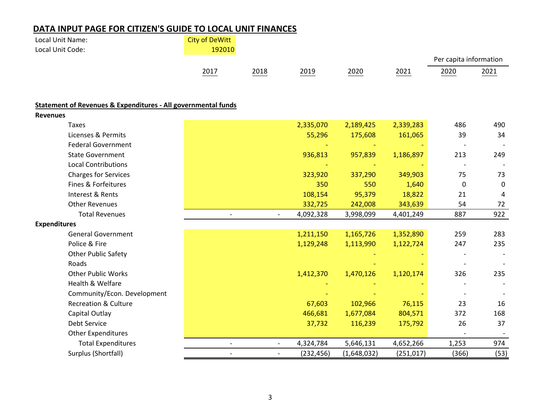# **DATA INPUT PAGE FOR CITIZEN'S GUIDE TO LOCAL UNIT FINANCES**

| Local Unit Name:                                                         | <b>City of DeWitt</b>    |                          |            |             |            |                        |      |
|--------------------------------------------------------------------------|--------------------------|--------------------------|------------|-------------|------------|------------------------|------|
| Local Unit Code:                                                         | 192010                   |                          |            |             |            |                        |      |
|                                                                          |                          |                          |            |             |            | Per capita information |      |
|                                                                          | 2017                     | 2018                     | 2019       | 2020        | 2021       | 2020                   | 2021 |
|                                                                          |                          |                          |            |             |            |                        |      |
| <b>Statement of Revenues &amp; Expenditures - All governmental funds</b> |                          |                          |            |             |            |                        |      |
| <b>Revenues</b>                                                          |                          |                          |            |             |            |                        |      |
| <b>Taxes</b>                                                             |                          |                          | 2,335,070  | 2,189,425   | 2,339,283  | 486                    | 490  |
| Licenses & Permits                                                       |                          |                          | 55,296     | 175,608     | 161,065    | 39                     | 34   |
| <b>Federal Government</b>                                                |                          |                          |            |             |            |                        |      |
| <b>State Government</b>                                                  |                          |                          | 936,813    | 957,839     | 1,186,897  | 213                    | 249  |
| <b>Local Contributions</b>                                               |                          |                          |            |             |            |                        |      |
| <b>Charges for Services</b>                                              |                          |                          | 323,920    | 337,290     | 349,903    | 75                     | 73   |
| Fines & Forfeitures                                                      |                          |                          | 350        | 550         | 1,640      | $\mathbf 0$            | 0    |
| Interest & Rents                                                         |                          |                          | 108,154    | 95,379      | 18,822     | 21                     | 4    |
| <b>Other Revenues</b>                                                    |                          |                          | 332,725    | 242,008     | 343,639    | 54                     | 72   |
| <b>Total Revenues</b>                                                    | $\overline{\phantom{a}}$ | $\overline{\phantom{a}}$ | 4,092,328  | 3,998,099   | 4,401,249  | 887                    | 922  |
| <b>Expenditures</b>                                                      |                          |                          |            |             |            |                        |      |
| <b>General Government</b>                                                |                          |                          | 1,211,150  | 1,165,726   | 1,352,890  | 259                    | 283  |
| Police & Fire                                                            |                          |                          | 1,129,248  | 1,113,990   | 1,122,724  | 247                    | 235  |
| <b>Other Public Safety</b>                                               |                          |                          |            |             |            |                        |      |
| Roads                                                                    |                          |                          |            |             |            |                        |      |
| <b>Other Public Works</b>                                                |                          |                          | 1,412,370  | 1,470,126   | 1,120,174  | 326                    | 235  |
| Health & Welfare                                                         |                          |                          |            |             |            |                        |      |
| Community/Econ. Development                                              |                          |                          |            |             |            |                        |      |
| <b>Recreation &amp; Culture</b>                                          |                          |                          | 67,603     | 102,966     | 76,115     | 23                     | 16   |
| Capital Outlay                                                           |                          |                          | 466,681    | 1,677,084   | 804,571    | 372                    | 168  |
| Debt Service                                                             |                          |                          | 37,732     | 116,239     | 175,792    | 26                     | 37   |
| <b>Other Expenditures</b>                                                |                          |                          |            |             |            |                        |      |
| <b>Total Expenditures</b>                                                | $\overline{\phantom{a}}$ | $\blacksquare$           | 4,324,784  | 5,646,131   | 4,652,266  | 1,253                  | 974  |
| Surplus (Shortfall)                                                      | $\overline{\phantom{a}}$ | $\overline{\phantom{a}}$ | (232, 456) | (1,648,032) | (251, 017) | (366)                  | (53) |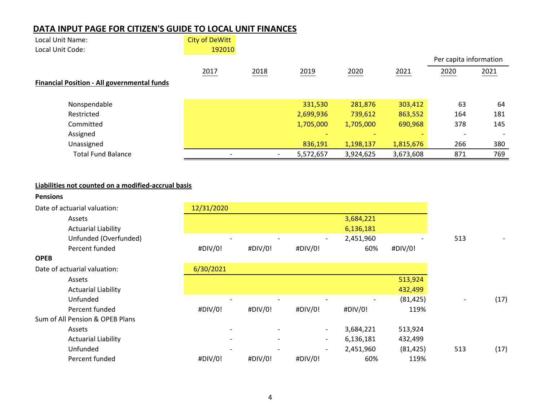## **DATA INPUT PAGE FOR CITIZEN'S GUIDE TO LOCAL UNIT FINANCES**

| Local Unit Name:                                   | <b>City of DeWitt</b> |      |           |           |           |                        |      |
|----------------------------------------------------|-----------------------|------|-----------|-----------|-----------|------------------------|------|
| Local Unit Code:                                   | 192010                |      |           |           |           |                        |      |
|                                                    |                       |      |           |           |           | Per capita information |      |
|                                                    | 2017                  | 2018 | 2019      | 2020      | 2021      | 2020                   | 2021 |
| <b>Financial Position - All governmental funds</b> |                       |      |           |           |           |                        |      |
| Nonspendable                                       |                       |      | 331,530   | 281,876   | 303,412   | 63                     | 64   |
| Restricted                                         |                       |      | 2,699,936 | 739,612   | 863,552   | 164                    | 181  |
| Committed                                          |                       |      | 1,705,000 | 1,705,000 | 690,968   | 378                    | 145  |
| Assigned                                           |                       |      |           |           |           |                        |      |
| Unassigned                                         |                       |      | 836,191   | 1,198,137 | 1,815,676 | 266                    | 380  |
| <b>Total Fund Balance</b>                          |                       |      | 5,572,657 | 3,924,625 | 3,673,608 | 871                    | 769  |

## **Liabilities not counted on a modified-accrual basis**

### **Pensions**

| Date of actuarial valuation: | 12/31/2020 |                          |                          |           |                |     |  |
|------------------------------|------------|--------------------------|--------------------------|-----------|----------------|-----|--|
| Assets                       |            |                          |                          | 3,684,221 |                |     |  |
| <b>Actuarial Liability</b>   |            |                          |                          | 6,136,181 |                |     |  |
| Unfunded (Overfunded)        |            | $\overline{\phantom{0}}$ | $\overline{\phantom{a}}$ | 2,451,960 | $\overline{a}$ | 513 |  |
| Percent funded               | #DIV/0!    | #DIV/0!                  | #DIV/0!                  | 60%       | #DIV/0!        |     |  |

## **OPEB**

Date of actuarial valuation:

**Actuarial Liability** 

Sum of All Pension & OPEB Plans

| Assets                     |                          |         |         | 3,684,221 |                          |     |
|----------------------------|--------------------------|---------|---------|-----------|--------------------------|-----|
| <b>Actuarial Liability</b> |                          |         |         | 6,136,181 |                          |     |
| Unfunded (Overfunded)      | $\overline{\phantom{0}}$ |         |         | 2,451,960 | $\overline{\phantom{a}}$ | 513 |
| Percent funded             | #DIV/0!                  | #DIV/0! | #DIV/0! | 60%       | #DIV/0!                  |     |
| uarial valuation:          | 6/30/2021                |         |         |           |                          |     |
| Assets                     |                          |         |         |           | 513,924                  |     |
| Actuarial Liability        |                          |         |         |           | 432.499                  |     |

| Unfunded<br>. |  |  |  | $\overline{\phantom{0}}$ | 125<br>101 | $\,$ |  |
|---------------|--|--|--|--------------------------|------------|------|--|
|---------------|--|--|--|--------------------------|------------|------|--|

| Percent funded             | #DIV/0!                  | #DIV/0!                  | #DIV/0!                  | #DIV/0!   | 119%      |     |      |
|----------------------------|--------------------------|--------------------------|--------------------------|-----------|-----------|-----|------|
| Pension & OPEB Plans       |                          |                          |                          |           |           |     |      |
| Assets                     | $\overline{\phantom{0}}$ |                          | $\overline{\phantom{0}}$ | 3,684,221 | 513,924   |     |      |
| <b>Actuarial Liability</b> | $\overline{\phantom{0}}$ | $\overline{\phantom{0}}$ |                          | 6,136,181 | 432.499   |     |      |
| Unfunded                   | $\overline{\phantom{a}}$ |                          | $\overline{\phantom{a}}$ | 2,451,960 | (81, 425) | 513 | (17) |
| Percent funded             | #DIV/0!                  | #DIV/0!                  | #DIV/0!                  | 60%       | 119%      |     |      |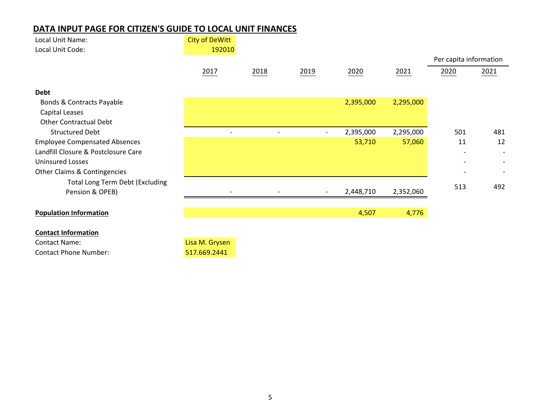## **DATA INPUT PAGE FOR CITIZEN'S GUIDE TO LOCAL UNIT FINANCES**

| Local Unit Name:                       | <b>City of DeWitt</b>    |                          |                          |           |           |                        |      |
|----------------------------------------|--------------------------|--------------------------|--------------------------|-----------|-----------|------------------------|------|
| Local Unit Code:                       | 192010                   |                          |                          |           |           |                        |      |
|                                        |                          |                          |                          |           |           | Per capita information |      |
|                                        | 2017                     | 2018                     | 2019                     | 2020      | 2021      | 2020                   | 2021 |
| <b>Debt</b>                            |                          |                          |                          |           |           |                        |      |
| Bonds & Contracts Payable              |                          |                          |                          | 2,395,000 | 2,295,000 |                        |      |
| Capital Leases                         |                          |                          |                          |           |           |                        |      |
| <b>Other Contractual Debt</b>          |                          |                          |                          |           |           |                        |      |
| <b>Structured Debt</b>                 | $\overline{\phantom{a}}$ | $\overline{\phantom{a}}$ | $\overline{\phantom{0}}$ | 2,395,000 | 2,295,000 | 501                    | 481  |
| <b>Employee Compensated Absences</b>   |                          |                          |                          | 53,710    | 57,060    | 11                     | 12   |
| Landfill Closure & Postclosure Care    |                          |                          |                          |           |           |                        |      |
| <b>Uninsured Losses</b>                |                          |                          |                          |           |           |                        |      |
| Other Claims & Contingencies           |                          |                          |                          |           |           |                        |      |
| <b>Total Long Term Debt (Excluding</b> |                          |                          |                          |           |           |                        |      |
| Pension & OPEB)                        |                          |                          |                          | 2,448,710 | 2,352,060 | 513                    | 492  |
|                                        |                          |                          |                          |           |           |                        |      |
| <b>Population Information</b>          |                          |                          |                          | 4,507     | 4,776     |                        |      |
| <b>Contact Information</b>             |                          |                          |                          |           |           |                        |      |
| <b>Contact Name:</b>                   | Lisa M. Grysen           |                          |                          |           |           |                        |      |
| <b>Contact Phone Number:</b>           | 517.669.2441             |                          |                          |           |           |                        |      |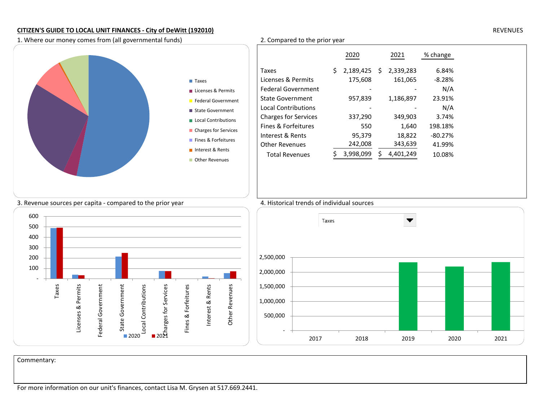## **CITIZEN'S GUIDE TO LOCAL UNIT FINANCES - City of DeWitt (192010)** REVENUES

1. Where our money comes from (all governmental funds) 2. Compared to the prior year

|                           |                             | 2020            | 2021 |           | % change |
|---------------------------|-----------------------------|-----------------|------|-----------|----------|
|                           | Taxes                       | 2,189,425<br>S. | -S   | 2,339,283 | 6.84%    |
| $\blacksquare$ Taxes      | Licenses & Permits          | 175,608         |      | 161,065   | $-8.28%$ |
| Licenses & Permits        | <b>Federal Government</b>   |                 |      |           | N/A      |
| <b>Federal Government</b> | <b>State Government</b>     | 957,839         |      | 1,186,897 | 23.91%   |
| ■ State Government        | <b>Local Contributions</b>  |                 |      |           | N/A      |
| Local Contributions       | <b>Charges for Services</b> | 337,290         |      | 349,903   | 3.74%    |
| ■ Charges for Services    | Fines & Forfeitures         | 550             |      | 1,640     | 198.18%  |
| Fines & Forfeitures       | Interest & Rents            | 95,379          |      | 18,822    | -80.27%  |
|                           | <b>Other Revenues</b>       | 242,008         |      | 343,639   | 41.99%   |
| Interest & Rents          | <b>Total Revenues</b>       | 3,998,099       |      | 4,401,249 | 10.08%   |
| Other Revenues            |                             |                 |      |           |          |
|                           |                             |                 |      |           |          |
|                           |                             |                 |      |           |          |
|                           |                             |                 |      |           |          |

## 3. Revenue sources per capita - compared to the prior year 4. Historical trends of individual sources





Commentary:

For more information on our unit's finances, contact Lisa M. Grysen at 517.669.2441.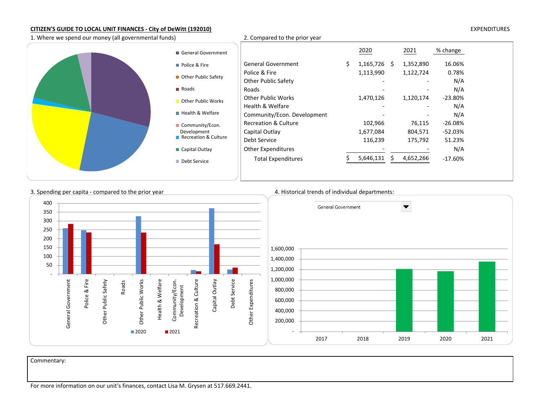### **CITIZEN'S GUIDE TO LOCAL UNIT FINANCES - City of DeWitt (192010)** EXPENDITURES

1. Where we spend our money (all governmental funds) 2. Compared to the prior year

| General Government          |                                             | 2020           | 2021                                  | % change     |
|-----------------------------|---------------------------------------------|----------------|---------------------------------------|--------------|
| Police & Fire               | <b>General Government</b>                   | $1,165,726$ \$ | 1,352,890                             | 16.06%       |
| Other Public Safety         | Police & Fire<br><b>Other Public Safety</b> | 1,113,990      | 1,122,724<br>$\overline{\phantom{a}}$ | 0.78%<br>N/A |
| <b>■</b> Roads              | Roads                                       |                |                                       | N/A          |
| Other Public Works          | <b>Other Public Works</b>                   | 1,470,126      | 1,120,174                             | $-23.80\%$   |
|                             | Health & Welfare                            |                | $\overline{\phantom{a}}$              | N/A          |
| <b>Health &amp; Welfare</b> | Community/Econ. Development                 |                |                                       | N/A          |
| Community/Econ.             | <b>Recreation &amp; Culture</b>             | 102,966        | 76,115                                | $-26.08%$    |
| Development                 | Capital Outlay                              | 1,677,084      | 804,571                               | $-52.03%$    |
| Recreation & Culture        | Debt Service                                | 116,239        | 175,792                               | 51.23%       |
| Capital Outlay              | Other Expenditures                          |                |                                       | N/A          |
| Debt Service                | <b>Total Expenditures</b>                   | 5,646,131      | 4,652,266                             | $-17.60%$    |
|                             |                                             |                |                                       |              |



Commentary: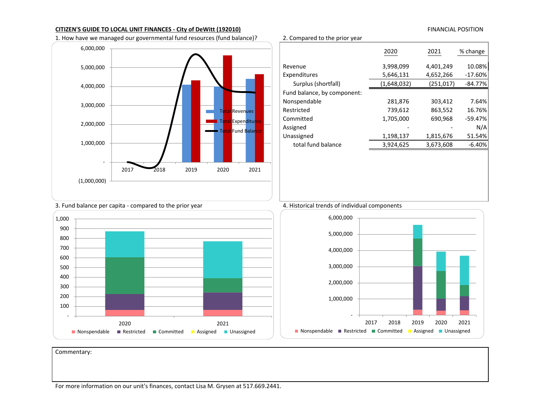### **CITIZEN'S GUIDE TO LOCAL UNIT FINANCES - City of DeWitt (192010) FINANCIAL POSITION FINANCIAL POSITION**

1. How have we managed our governmental fund resources (fund balance)? 2. Compared to the prior year



|                             | 2020        | 2021      | % change  |
|-----------------------------|-------------|-----------|-----------|
| Revenue                     | 3,998,099   | 4,401,249 | 10.08%    |
| Expenditures                | 5,646,131   | 4,652,266 | $-17.60%$ |
| Surplus (shortfall)         | (1,648,032) | (251,017) | $-84.77%$ |
| Fund balance, by component: |             |           |           |
| Nonspendable                | 281,876     | 303,412   | 7.64%     |
| Restricted                  | 739,612     | 863,552   | 16.76%    |
| Committed                   | 1,705,000   | 690,968   | $-59.47%$ |
| Assigned                    |             |           | N/A       |
| Unassigned                  | 1,198,137   | 1,815,676 | 51.54%    |
| total fund balance          | 3,924,625   | 3,673,608 | $-6.40%$  |
|                             |             |           |           |



(1,000,000)

1,000,000

2,000,000

3,000,000

4,000,000

5,000,000

6,000,000

-



2017 2018 2019 2020 2021

Revenues Expen<mark>ditur</mark> Fund Balar



Commentary: